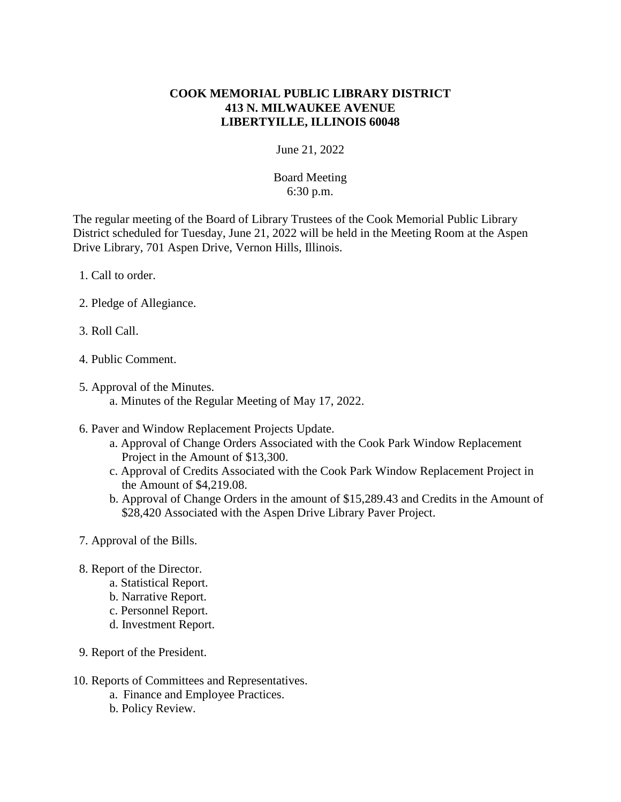## **COOK MEMORIAL PUBLIC LIBRARY DISTRICT 413 N. MILWAUKEE AVENUE LIBERTYILLE, ILLINOIS 60048**

## June 21, 2022

## Board Meeting 6:30 p.m.

The regular meeting of the Board of Library Trustees of the Cook Memorial Public Library District scheduled for Tuesday, June 21, 2022 will be held in the Meeting Room at the Aspen Drive Library, 701 Aspen Drive, Vernon Hills, Illinois.

- 1. Call to order.
- 2. Pledge of Allegiance.
- 3. Roll Call.
- 4. Public Comment.
- 5. Approval of the Minutes. a. Minutes of the Regular Meeting of May 17, 2022.
- 6. Paver and Window Replacement Projects Update.
	- a. Approval of Change Orders Associated with the Cook Park Window Replacement Project in the Amount of \$13,300.
	- c. Approval of Credits Associated with the Cook Park Window Replacement Project in the Amount of \$4,219.08.
	- b. Approval of Change Orders in the amount of \$15,289.43 and Credits in the Amount of \$28,420 Associated with the Aspen Drive Library Paver Project.
- 7. Approval of the Bills.
- 8. Report of the Director.
	- a. Statistical Report.
	- b. Narrative Report.
	- c. Personnel Report.
	- d. Investment Report.
- 9. Report of the President.
- 10. Reports of Committees and Representatives.
	- a. Finance and Employee Practices.
	- b. Policy Review.